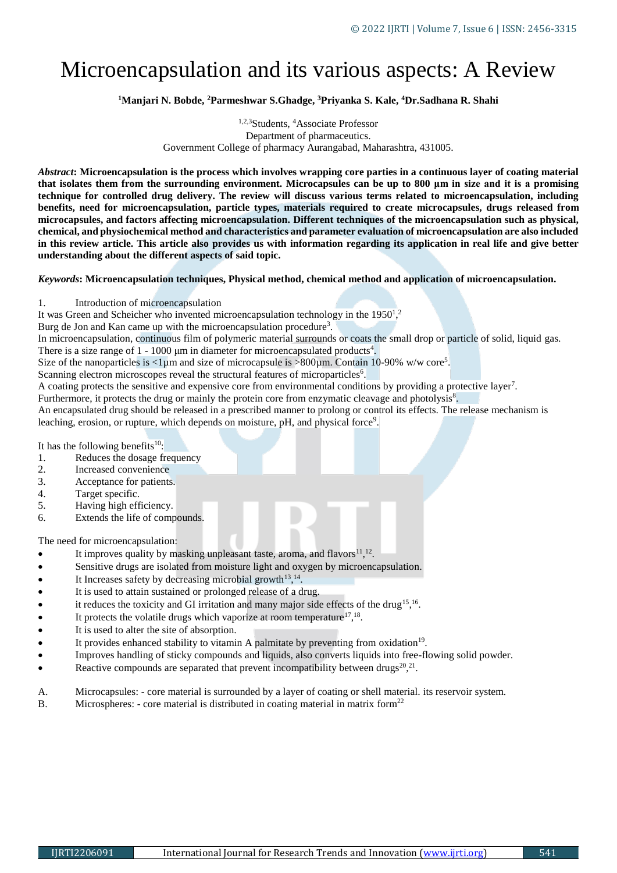# Microencapsulation and its various aspects: A Review

**<sup>1</sup>Manjari N. Bobde, <sup>2</sup>Parmeshwar S.Ghadge, <sup>3</sup>Priyanka S. Kale, <sup>4</sup>Dr.Sadhana R. Shahi**

1,2,3Students, <sup>4</sup>Associate Professor Department of pharmaceutics. Government College of pharmacy Aurangabad, Maharashtra, 431005.

*Abstract***: Microencapsulation is the process which involves wrapping core parties in a continuous layer of coating material that isolates them from the surrounding environment. Microcapsules can be up to 800 μm in size and it is a promising technique for controlled drug delivery. The review will discuss various terms related to microencapsulation, including benefits, need for microencapsulation, particle types, materials required to create microcapsules, drugs released from microcapsules, and factors affecting microencapsulation. Different techniques of the microencapsulation such as physical, chemical, and physiochemical method and characteristics and parameter evaluation of microencapsulation are also included in this review article. This article also provides us with information regarding its application in real life and give better understanding about the different aspects of said topic.** 

#### *Keywords***: Microencapsulation techniques, Physical method, chemical method and application of microencapsulation.**

1. Introduction of microencapsulation

It was Green and Scheicher who invented microencapsulation technology in the  $1950<sup>1,2</sup>$ 

Burg de Jon and Kan came up with the microencapsulation procedure<sup>3</sup>.

In microencapsulation, continuous film of polymeric material surrounds or coats the small drop or particle of solid, liquid gas.

There is a size range of  $1 - 1000 \mu m$  in diameter for microencapsulated products<sup>4</sup>. Size of the nanoparticles is  $\langle 1 \rangle$  and size of microcapsule is  $> 800 \mu$ m. Contain 10-90% w/w core<sup>5</sup>.

Scanning electron microscopes reveal the structural features of microparticles<sup>6</sup>.

A coating protects the sensitive and expensive core from environmental conditions by providing a protective layer<sup>7</sup> .

Furthermore, it protects the drug or mainly the protein core from enzymatic cleavage and photolysis<sup>8</sup>.

An encapsulated drug should be released in a prescribed manner to prolong or control its effects. The release mechanism is leaching, erosion, or rupture, which depends on moisture, pH, and physical force<sup>9</sup>.

It has the following benefits $10$ :

- 1. Reduces the dosage frequency
- 2. Increased convenience
- 3. Acceptance for patients.
- 4. Target specific.
- 5. Having high efficiency.
- 6. Extends the life of compounds.

The need for microencapsulation:

- $\bullet$  It improves quality by masking unpleasant taste, aroma, and flavors<sup>11</sup>,<sup>12</sup>.
- Sensitive drugs are isolated from moisture light and oxygen by microencapsulation.
- $\bullet$  It Increases safety by decreasing microbial growth<sup>13,14</sup>.
- It is used to attain sustained or prolonged release of a drug.
- $\bullet$  it reduces the toxicity and GI irritation and many major side effects of the drug<sup>15,16</sup>.
- $\bullet$  It protects the volatile drugs which vaporize at room temperature<sup>17,18</sup>.
- It is used to alter the site of absorption.
- It provides enhanced stability to vitamin A palmitate by preventing from oxidation<sup>19</sup>.
- Improves handling of sticky compounds and liquids, also converts liquids into free-flowing solid powder.
- Reactive compounds are separated that prevent incompatibility between drugs<sup>20</sup>,<sup>21</sup>.
- A. Microcapsules: core material is surrounded by a layer of coating or shell material. its reservoir system.
- B. Microspheres: core material is distributed in coating material in matrix form<sup>22</sup>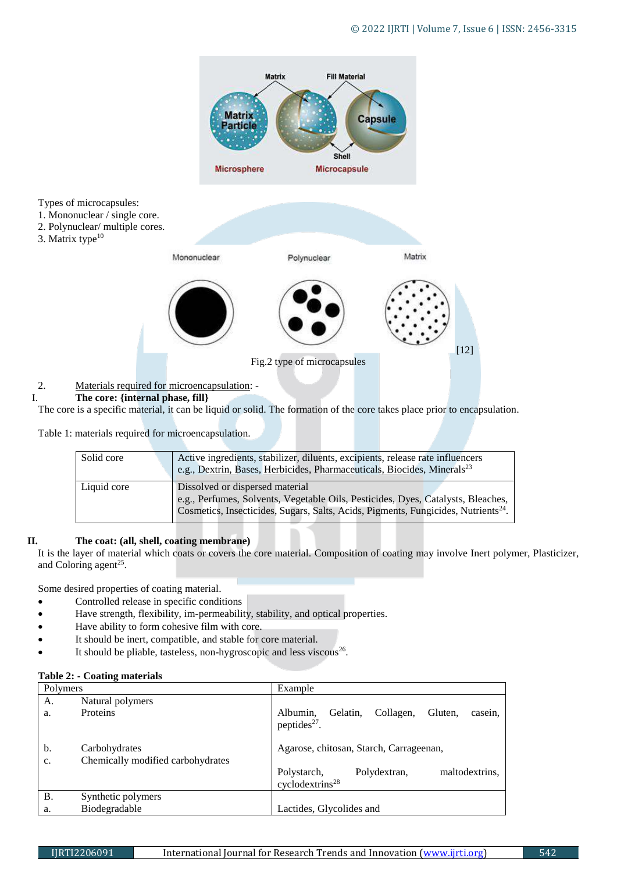

# I. **The core: {internal phase, fill}**

The core is a specific material, it can be liquid or solid. The formation of the core takes place prior to encapsulation.

Table 1: materials required for microencapsulation.

| Solid core  | Active ingredients, stabilizer, diluents, excipients, release rate influencers<br>$\vert$ e.g., Dextrin, Bases, Herbicides, Pharmaceuticals, Biocides, Minerals <sup>23</sup>                                         |  |
|-------------|-----------------------------------------------------------------------------------------------------------------------------------------------------------------------------------------------------------------------|--|
| Liquid core | Dissolved or dispersed material<br>e.g., Perfumes, Solvents, Vegetable Oils, Pesticides, Dyes, Catalysts, Bleaches,<br>Cosmetics, Insecticides, Sugars, Salts, Acids, Pigments, Fungicides, Nutrients <sup>24</sup> . |  |

# **II. The coat: (all, shell, coating membrane)**

It is the layer of material which coats or covers the core material. Composition of coating may involve Inert polymer, Plasticizer, and Coloring agent<sup>25</sup>.

Some desired properties of coating material.

- Controlled release in specific conditions
- Have strength, flexibility, im-permeability, stability, and optical properties.
- Have ability to form cohesive film with core.
- It should be inert, compatible, and stable for core material.
- $\bullet$  It should be pliable, tasteless, non-hygroscopic and less viscous<sup>26</sup>.

# **Table 2: - Coating materials**

| Polymers  |                                                    | Example                                                                      |  |  |
|-----------|----------------------------------------------------|------------------------------------------------------------------------------|--|--|
| A.        | Natural polymers                                   |                                                                              |  |  |
| a.        | <b>Proteins</b>                                    | Gelatin.<br>Collagen,<br>Gluten.<br>Albumin,<br>casein.<br>peptides $27$ .   |  |  |
| b.<br>c.  | Carbohydrates<br>Chemically modified carbohydrates | Agarose, chitosan, Starch, Carrageenan,                                      |  |  |
|           |                                                    | maltodextrins.<br>Polydextran,<br>Polystarch,<br>cyclodextrins <sup>28</sup> |  |  |
| <b>B.</b> | Synthetic polymers                                 |                                                                              |  |  |
| a.        | Biodegradable                                      | Lactides, Glycolides and                                                     |  |  |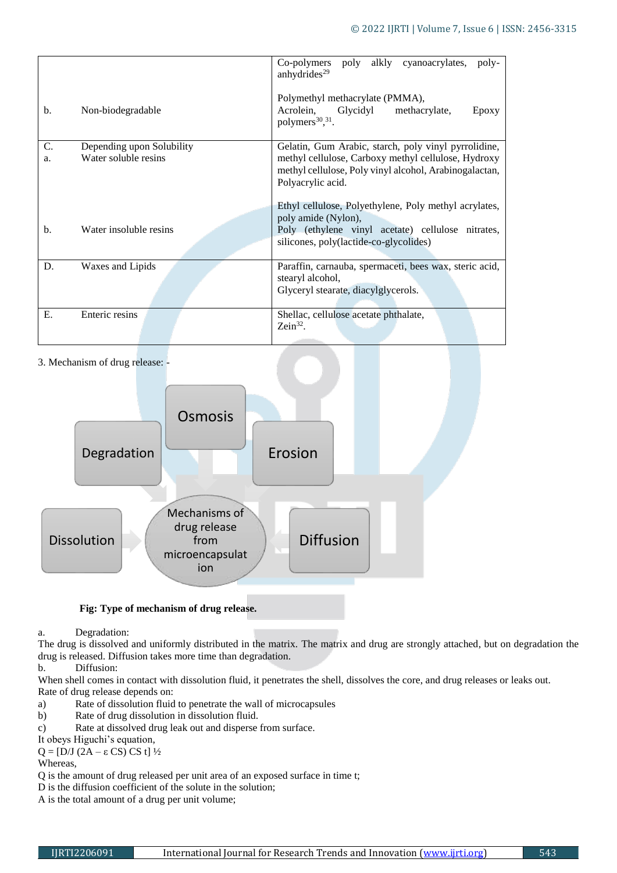|                                                               |                        | alkly cyanoacrylates,<br>Co-polymers<br>poly<br>poly-<br>anhydrides <sup>29</sup>                                                                                                          |
|---------------------------------------------------------------|------------------------|--------------------------------------------------------------------------------------------------------------------------------------------------------------------------------------------|
| b.                                                            | Non-biodegradable      | Polymethyl methacrylate (PMMA),<br>Acrolein,<br>Glycidyl<br>methacrylate.<br>Epoxy<br>polymers <sup>30</sup> , <sup>31</sup> .                                                             |
| C.<br>Depending upon Solubility<br>Water soluble resins<br>a. |                        | Gelatin, Gum Arabic, starch, poly vinyl pyrrolidine,<br>methyl cellulose, Carboxy methyl cellulose, Hydroxy<br>methyl cellulose, Poly vinyl alcohol, Arabinogalactan,<br>Polyacrylic acid. |
| b.                                                            | Water insoluble resins | Ethyl cellulose, Polyethylene, Poly methyl acrylates,<br>poly amide (Nylon),<br>Poly (ethylene vinyl acetate) cellulose nitrates,<br>silicones, poly(lactide-co-glycolides)                |
| D.                                                            | Waxes and Lipids       | Paraffin, carnauba, spermaceti, bees wax, steric acid,<br>stearyl alcohol,<br>Glyceryl stearate, diacylglycerols.                                                                          |
| Ε.                                                            | Enteric resins         | Shellac, cellulose acetate phthalate,<br>$Zein^{32}$ .                                                                                                                                     |

# 3. Mechanism of drug release: -



# **Fig: Type of mechanism of drug release.**

a. Degradation:

The drug is dissolved and uniformly distributed in the matrix. The matrix and drug are strongly attached, but on degradation the drug is released. Diffusion takes more time than degradation.

b. Diffusion:

When shell comes in contact with dissolution fluid, it penetrates the shell, dissolves the core, and drug releases or leaks out. Rate of drug release depends on:

- a) Rate of dissolution fluid to penetrate the wall of microcapsules
- b) Rate of drug dissolution in dissolution fluid.
- c) Rate at dissolved drug leak out and disperse from surface.
- It obeys Higuchi's equation,
- $Q = [D/J (2A ε CS) CS t]$  ½

Whereas,

- Q is the amount of drug released per unit area of an exposed surface in time t;
- D is the diffusion coefficient of the solute in the solution;
- A is the total amount of a drug per unit volume;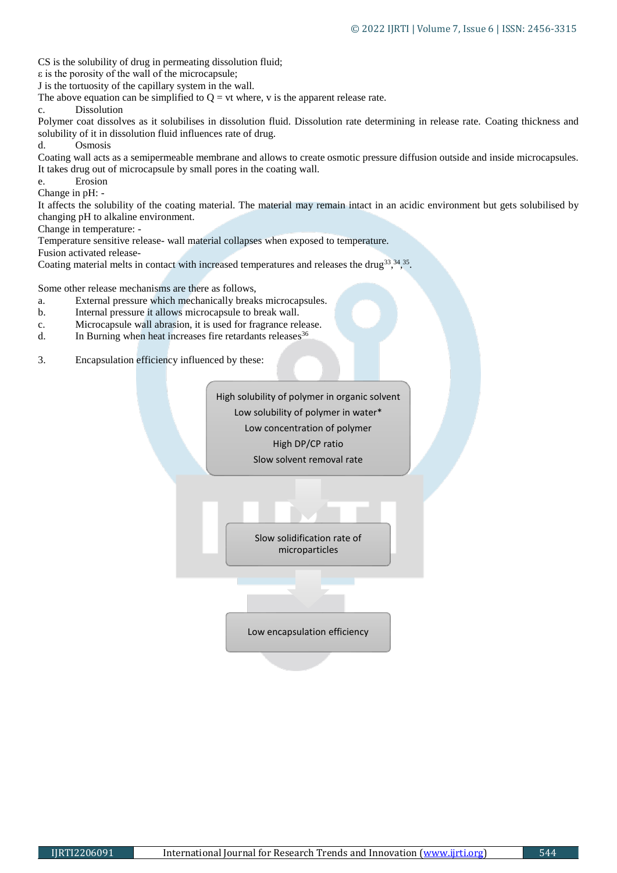CS is the solubility of drug in permeating dissolution fluid;

ε is the porosity of the wall of the microcapsule;

J is the tortuosity of the capillary system in the wall.

The above equation can be simplified to  $Q = vt$  where, v is the apparent release rate.

c. Dissolution

Polymer coat dissolves as it solubilises in dissolution fluid. Dissolution rate determining in release rate. Coating thickness and solubility of it in dissolution fluid influences rate of drug.

d. Osmosis

Coating wall acts as a semipermeable membrane and allows to create osmotic pressure diffusion outside and inside microcapsules. It takes drug out of microcapsule by small pores in the coating wall.

e. Erosion Change in pH: -

It affects the solubility of the coating material. The material may remain intact in an acidic environment but gets solubilised by changing pH to alkaline environment.

Change in temperature: -

Temperature sensitive release- wall material collapses when exposed to temperature.

Fusion activated release-

Coating material melts in contact with increased temperatures and releases the drug<sup>33</sup>, <sup>34</sup>, <sup>35</sup>.

Some other release mechanisms are there as follows,

- a. External pressure which mechanically breaks microcapsules.
- b. Internal pressure it allows microcapsule to break wall.
- c. Microcapsule wall abrasion, it is used for fragrance release.
- d. In Burning when heat increases fire retardants releases<sup>36</sup>
- 3. Encapsulation efficiency influenced by these:

High solubility of polymer in organic solvent Low solubility of polymer in water\* Low concentration of polymer High DP/CP ratio Slow solvent removal rate

> Slow solidification rate of microparticles

Low encapsulation efficiency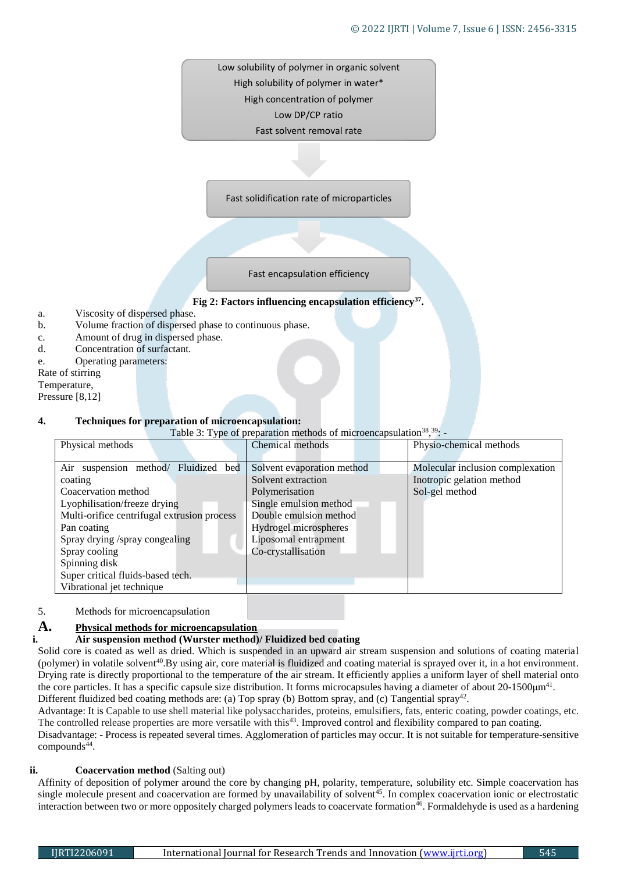Low solubility of polymer in organic solvent High solubility of polymer in water\* High concentration of polymer Low DP/CP ratio Fast solvent removal rate

Fast solidification rate of microparticles

Fast encapsulation efficiency

#### **Fig 2: Factors influencing encapsulation efficiency<sup>37</sup> .**

- a. Viscosity of dispersed phase.
- b. Volume fraction of dispersed phase to continuous phase.
- c. Amount of drug in dispersed phase.
- d. Concentration of surfactant.
- e. Operating parameters:

Rate of stirring

Temperature,

Pressure [8,12]

#### **4. Techniques for preparation of microencapsulation:**

Table 3: Type of preparation methods of microencapsulation<sup>38</sup>,<sup>39</sup>: -

| Physical methods                                                                                                                                                                                                                                                                                           | Chemical methods                                                                                                                                                                              | Physio-chemical methods                                                         |
|------------------------------------------------------------------------------------------------------------------------------------------------------------------------------------------------------------------------------------------------------------------------------------------------------------|-----------------------------------------------------------------------------------------------------------------------------------------------------------------------------------------------|---------------------------------------------------------------------------------|
| Air suspension method/ Fluidized bed<br>coating<br>Coacervation method<br>Lyophilisation/freeze drying<br>Multi-orifice centrifugal extrusion process<br>Pan coating<br>Spray drying /spray congealing<br>Spray cooling<br>Spinning disk<br>Super critical fluids-based tech.<br>Vibrational jet technique | Solvent evaporation method<br>Solvent extraction<br>Polymerisation<br>Single emulsion method<br>Double emulsion method<br>Hydrogel microspheres<br>Liposomal entrapment<br>Co-crystallisation | Molecular inclusion complexation<br>Inotropic gelation method<br>Sol-gel method |

## 5. Methods for microencapsulation

# **A. Physical methods for microencapsulation**

# **i. Air suspension method (Wurster method)/ Fluidized bed coating**

Solid core is coated as well as dried. Which is suspended in an upward air stream suspension and solutions of coating material (polymer) in volatile solvent<sup>40</sup>. By using air, core material is fluidized and coating material is sprayed over it, in a hot environment. Drying rate is directly proportional to the temperature of the air stream. It efficiently applies a uniform layer of shell material onto the core particles. It has a specific capsule size distribution. It forms microcapsules having a diameter of about  $20$ -1500 $\mu$ m<sup>41</sup>. Different fluidized bed coating methods are: (a) Top spray (b) Bottom spray, and (c) Tangential spray<sup>42</sup>.

Advantage: It is Capable to use shell material like polysaccharides, proteins, emulsifiers, fats, enteric coating, powder coatings, etc. The controlled release properties are more versatile with this $43$ . Improved control and flexibility compared to pan coating. Disadvantage: - Process is repeated several times. Agglomeration of particles may occur. It is not suitable for temperature-sensitive  $compounds<sup>44</sup>$ .

# **ii. Coacervation method** (Salting out)

Affinity of deposition of polymer around the core by changing pH, polarity, temperature, solubility etc. Simple coacervation has single molecule present and coacervation are formed by unavailability of solvent $45$ . In complex coacervation ionic or electrostatic interaction between two or more oppositely charged polymers leads to coacervate formation<sup>46</sup>. Formaldehyde is used as a hardening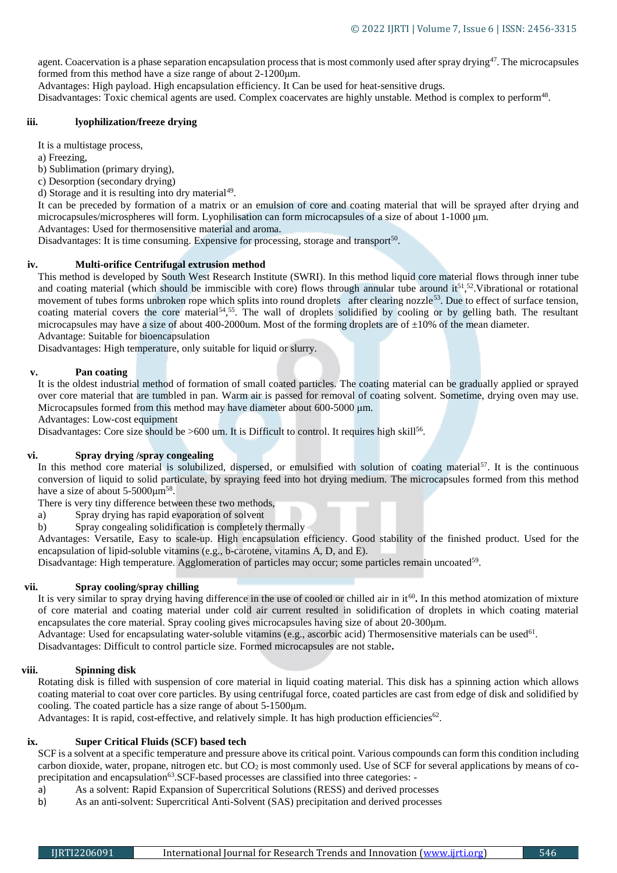agent. Coacervation is a phase separation encapsulation process that is most commonly used after spray drying<sup>47</sup>. The microcapsules formed from this method have a size range of about 2-1200μm.

Advantages: High payload. High encapsulation efficiency. It Can be used for heat-sensitive drugs.

Disadvantages: Toxic chemical agents are used. Complex coacervates are highly unstable. Method is complex to perform<sup>48</sup>.

#### **iii. lyophilization/freeze drying**

It is a multistage process,

a) Freezing,

b) Sublimation (primary drying),

c) Desorption (secondary drying)

d) Storage and it is resulting into dry material $49$ .

It can be preceded by formation of a matrix or an emulsion of core and coating material that will be sprayed after drying and microcapsules/microspheres will form. Lyophilisation can form microcapsules of a size of about 1-1000 μm.

Advantages: Used for thermosensitive material and aroma.

Disadvantages: It is time consuming. Expensive for processing, storage and transport<sup>50</sup>.

#### **iv. Multi-orifice Centrifugal extrusion method**

This method is developed by South West Research Institute (SWRI). In this method liquid core material flows through inner tube and coating material (which should be immiscible with core) flows through annular tube around  $it^{51,52}$ . Vibrational or rotational movement of tubes forms unbroken rope which splits into round droplets after clearing nozzle<sup>53</sup>. Due to effect of surface tension, coating material covers the core material<sup>54</sup>,<sup>55</sup>. The wall of droplets solidified by cooling or by gelling bath. The resultant microcapsules may have a size of about 400-2000um. Most of the forming droplets are of  $\pm 10\%$  of the mean diameter. Advantage: Suitable for bioencapsulation

Disadvantages: High temperature, only suitable for liquid or slurry.

# **v. Pan coating**

It is the oldest industrial method of formation of small coated particles. The coating material can be gradually applied or sprayed over core material that are tumbled in pan. Warm air is passed for removal of coating solvent. Sometime, drying oven may use. Microcapsules formed from this method may have diameter about 600-5000 μm.

Advantages: Low-cost equipment

Disadvantages: Core size should be >600 um. It is Difficult to control. It requires high skill<sup>56</sup>.

# **vi. Spray drying /spray congealing**

In this method core material is solubilized, dispersed, or emulsified with solution of coating material<sup>57</sup>. It is the continuous conversion of liquid to solid particulate, by spraying feed into hot drying medium. The microcapsules formed from this method have a size of about  $5-5000 \mu m^{58}$ .

There is very tiny difference between these two methods,

a) Spray drying has rapid evaporation of solvent

b) Spray congealing solidification is completely thermally

Advantages: Versatile, Easy to scale-up. High encapsulation efficiency. Good stability of the finished product. Used for the encapsulation of lipid-soluble vitamins (e.g., b-carotene, vitamins A, D, and E).

Disadvantage: High temperature. Agglomeration of particles may occur; some particles remain uncoated<sup>59</sup>.

#### **vii. Spray cooling/spray chilling**

It is very similar to spray drying having difference in the use of cooled or chilled air in it<sup>60</sup>. In this method atomization of mixture of core material and coating material under cold air current resulted in solidification of droplets in which coating material encapsulates the core material. Spray cooling gives microcapsules having size of about 20-300μm.

Advantage: Used for encapsulating water-soluble vitamins (e.g., ascorbic acid) Thermosensitive materials can be used<sup>61</sup>.

Disadvantages: Difficult to control particle size. Formed microcapsules are not stable**.**

#### **viii. Spinning disk**

Rotating disk is filled with suspension of core material in liquid coating material. This disk has a spinning action which allows coating material to coat over core particles. By using centrifugal force, coated particles are cast from edge of disk and solidified by cooling. The coated particle has a size range of about 5-1500μm.

Advantages: It is rapid, cost-effective, and relatively simple. It has high production efficiencies $62$ .

# **ix. Super Critical Fluids (SCF) based tech**

SCF is a solvent at a specific temperature and pressure above its critical point. Various compounds can form this condition including carbon dioxide, water, propane, nitrogen etc. but  $CO<sub>2</sub>$  is most commonly used. Use of SCF for several applications by means of coprecipitation and encapsulation<sup>63</sup>.SCF-based processes are classified into three categories: -

- a) As a solvent: Rapid Expansion of Supercritical Solutions (RESS) and derived processes
- b) As an anti-solvent: Supercritical Anti-Solvent (SAS) precipitation and derived processes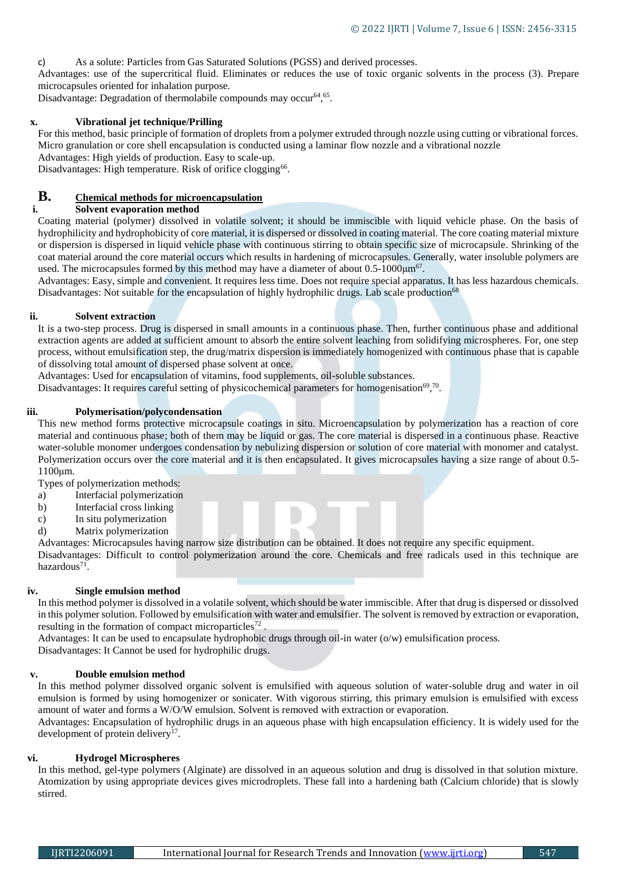c) As a solute: Particles from Gas Saturated Solutions (PGSS) and derived processes.

Advantages: use of the supercritical fluid. Eliminates or reduces the use of toxic organic solvents in the process (3). Prepare microcapsules oriented for inhalation purpose.

Disadvantage: Degradation of thermolabile compounds may occur64, 65.

## **x. Vibrational jet technique/Prilling**

For this method, basic principle of formation of droplets from a polymer extruded through nozzle using cutting or vibrational forces. Micro granulation or core shell encapsulation is conducted using a laminar flow nozzle and a vibrational nozzle Advantages: High yields of production. Easy to scale-up.

Disadvantages: High temperature. Risk of orifice clogging<sup>66</sup>.

# **B.** Chemical methods for microencapsulation i. Solvent evaporation method

## **i. Solvent evaporation method**

Coating material (polymer) dissolved in volatile solvent; it should be immiscible with liquid vehicle phase. On the basis of hydrophilicity and hydrophobicity of core material, it is dispersed or dissolved in coating material. The core coating material mixture or dispersion is dispersed in liquid vehicle phase with continuous stirring to obtain specific size of microcapsule. Shrinking of the coat material around the core material occurs which results in hardening of microcapsules. Generally, water insoluble polymers are used. The microcapsules formed by this method may have a diameter of about  $0.5{\text -}1000\mu{\text{m}}^{67}$ .

Advantages: Easy, simple and convenient. It requires less time. Does not require special apparatus. It has less hazardous chemicals. Disadvantages: Not suitable for the encapsulation of highly hydrophilic drugs. Lab scale production<sup>68</sup>

#### **ii. Solvent extraction**

It is a two-step process. Drug is dispersed in small amounts in a continuous phase. Then, further continuous phase and additional extraction agents are added at sufficient amount to absorb the entire solvent leaching from solidifying microspheres. For, one step process, without emulsification step, the drug/matrix dispersion is immediately homogenized with continuous phase that is capable of dissolving total amount of dispersed phase solvent at once.

Advantages: Used for encapsulation of vitamins, food supplements, oil-soluble substances.

Disadvantages: It requires careful setting of physicochemical parameters for homogenisation<sup>69</sup>,<sup>70</sup>.

#### **iii. Polymerisation/polycondensation**

This new method forms protective microcapsule coatings in situ. Microencapsulation by polymerization has a reaction of core material and continuous phase; both of them may be liquid or gas. The core material is dispersed in a continuous phase. Reactive water-soluble monomer undergoes condensation by nebulizing dispersion or solution of core material with monomer and catalyst. Polymerization occurs over the core material and it is then encapsulated. It gives microcapsules having a size range of about 0.5- 1100μm.

Types of polymerization methods:

- a) Interfacial polymerization
- b) Interfacial cross linking
- c) In situ polymerization
- d) Matrix polymerization

Advantages: Microcapsules having narrow size distribution can be obtained. It does not require any specific equipment. Disadvantages: Difficult to control polymerization around the core. Chemicals and free radicals used in this technique are hazardous<sup>71</sup>.

#### **iv. Single emulsion method**

In this method polymer is dissolved in a volatile solvent, which should be water immiscible. After that drug is dispersed or dissolved in this polymer solution. Followed by emulsification with water and emulsifier. The solvent is removed by extraction or evaporation, resulting in the formation of compact microparticles<sup>72</sup>.

Advantages: It can be used to encapsulate hydrophobic drugs through oil-in water (o/w) emulsification process. Disadvantages: It Cannot be used for hydrophilic drugs.

#### **v. Double emulsion method**

In this method polymer dissolved organic solvent is emulsified with aqueous solution of water-soluble drug and water in oil emulsion is formed by using homogenizer or sonicater. With vigorous stirring, this primary emulsion is emulsified with excess amount of water and forms a W/O/W emulsion. Solvent is removed with extraction or evaporation.

Advantages: Encapsulation of hydrophilic drugs in an aqueous phase with high encapsulation efficiency. It is widely used for the development of protein delivery<sup>17</sup>.

## **vi. Hydrogel Microspheres**

In this method, gel-type polymers (Alginate) are dissolved in an aqueous solution and drug is dissolved in that solution mixture. Atomization by using appropriate devices gives microdroplets. These fall into a hardening bath (Calcium chloride) that is slowly stirred.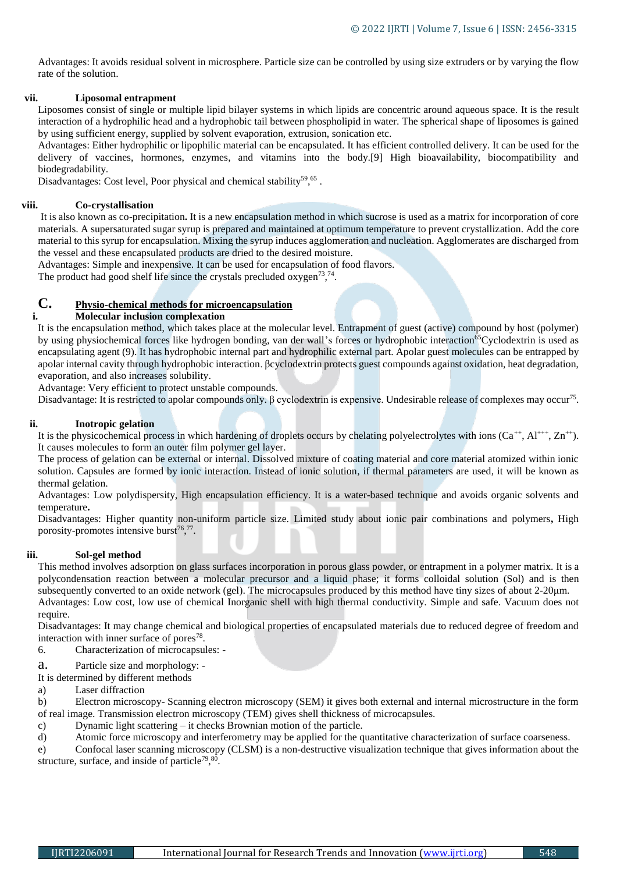Advantages: It avoids residual solvent in microsphere. Particle size can be controlled by using size extruders or by varying the flow rate of the solution.

#### **vii. Liposomal entrapment**

Liposomes consist of single or multiple lipid bilayer systems in which lipids are concentric around aqueous space. It is the result interaction of a hydrophilic head and a hydrophobic tail between phospholipid in water. The spherical shape of liposomes is gained by using sufficient energy, supplied by solvent evaporation, extrusion, sonication etc.

Advantages: Either hydrophilic or lipophilic material can be encapsulated. It has efficient controlled delivery. It can be used for the delivery of vaccines, hormones, enzymes, and vitamins into the body.[9] High bioavailability, biocompatibility and biodegradability.

Disadvantages: Cost level, Poor physical and chemical stability<sup>59</sup>,<sup>65</sup>.

## **viii. Co-crystallisation**

It is also known as co-precipitation**.** It is a new encapsulation method in which sucrose is used as a matrix for incorporation of core materials. A supersaturated sugar syrup is prepared and maintained at optimum temperature to prevent crystallization. Add the core material to this syrup for encapsulation. Mixing the syrup induces agglomeration and nucleation. Agglomerates are discharged from the vessel and these encapsulated products are dried to the desired moisture.

Advantages: Simple and inexpensive. It can be used for encapsulation of food flavors.

The product had good shelf life since the crystals precluded oxygen<sup>73</sup>,<sup>74</sup>.

# **C. Physio-chemical methods for microencapsulation**

# **i. Molecular inclusion complexation**

It is the encapsulation method, which takes place at the molecular level. Entrapment of guest (active) compound by host (polymer) by using physiochemical forces like hydrogen bonding, van der wall's forces or hydrophobic interaction<sup>65</sup>Cyclodextrin is used as encapsulating agent (9). It has hydrophobic internal part and hydrophilic external part. Apolar guest molecules can be entrapped by apolar internal cavity through hydrophobic interaction. βcyclodextrin protects guest compounds against oxidation, heat degradation, evaporation, and also increases solubility.

Advantage: Very efficient to protect unstable compounds.

Disadvantage: It is restricted to apolar compounds only. β cyclodextrin is expensive. Undesirable release of complexes may occur<sup>75</sup>.

# **ii. Inotropic gelation**

It is the physicochemical process in which hardening of droplets occurs by chelating polyelectrolytes with ions  $(Ca^{++}, A1^{+++}, Zn^{++})$ . It causes molecules to form an outer film polymer gel layer.

The process of gelation can be external or internal. Dissolved mixture of coating material and core material atomized within ionic solution. Capsules are formed by ionic interaction. Instead of ionic solution, if thermal parameters are used, it will be known as thermal gelation.

Advantages: Low polydispersity, High encapsulation efficiency. It is a water-based technique and avoids organic solvents and temperature**.**

Disadvantages: Higher quantity non-uniform particle size. Limited study about ionic pair combinations and polymers**,** High porosity-promotes intensive burst $76,77$ .

# **iii. Sol-gel method**

This method involves adsorption on glass surfaces incorporation in porous glass powder, or entrapment in a polymer matrix. It is a polycondensation reaction between a molecular precursor and a liquid phase; it forms colloidal solution (Sol) and is then subsequently converted to an oxide network (gel). The microcapsules produced by this method have tiny sizes of about 2-20μm. Advantages: Low cost, low use of chemical Inorganic shell with high thermal conductivity. Simple and safe. Vacuum does not require.

Disadvantages: It may change chemical and biological properties of encapsulated materials due to reduced degree of freedom and interaction with inner surface of pores<sup>78</sup>.

6. Characterization of microcapsules: -

a. Particle size and morphology: -

It is determined by different methods

a) Laser diffraction

b) Electron microscopy- Scanning electron microscopy (SEM) it gives both external and internal microstructure in the form of real image. Transmission electron microscopy (TEM) gives shell thickness of microcapsules.

- c) Dynamic light scattering it checks Brownian motion of the particle.
- d) Atomic force microscopy and interferometry may be applied for the quantitative characterization of surface coarseness.

e) Confocal laser scanning microscopy (CLSM) is a non-destructive visualization technique that gives information about the structure, surface, and inside of particle<sup>79</sup>,  $80$ .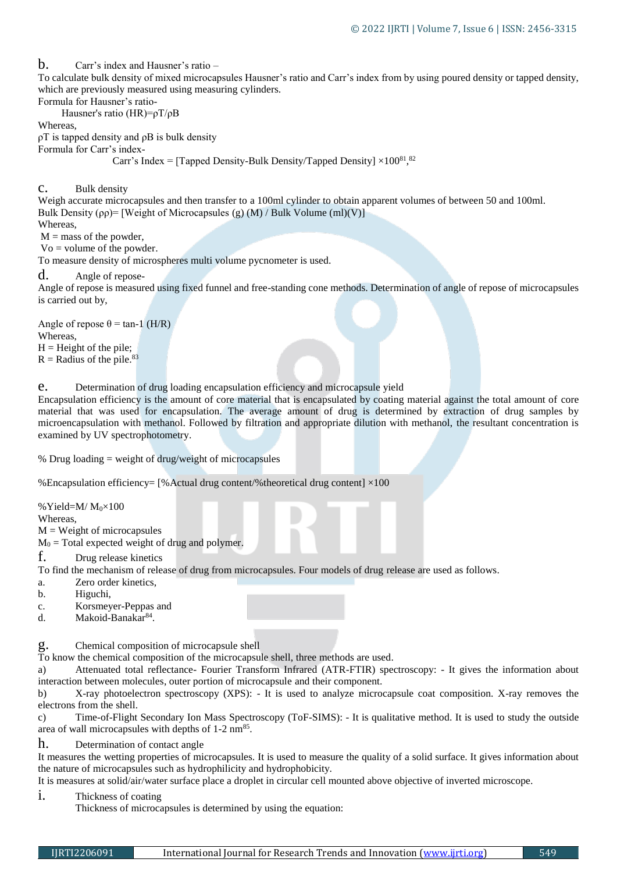b. Carr's index and Hausner's ratio –

To calculate bulk density of mixed microcapsules Hausner's ratio and Carr's index from by using poured density or tapped density, which are previously measured using measuring cylinders.

Formula for Hausner's ratio-

Hausner's ratio (HR)=ρT/ρB

Whereas,

 $ρT$  is tapped density and  $ρB$  is bulk density

Formula for Carr's index-

Carr's Index = [Tapped Density-Bulk Density/Tapped Density]  $\times 100^{81}$ ,<sup>82</sup>

c. Bulk density

Weigh accurate microcapsules and then transfer to a 100ml cylinder to obtain apparent volumes of between 50 and 100ml. Bulk Density ( $\rho \rho$ )= [Weight of Microcapsules (g) (M) / Bulk Volume (ml)(V)]

**Whereas** 

 $M =$  mass of the powder,

Vo = volume of the powder.

To measure density of microspheres multi volume pycnometer is used.

d. Angle of repose-

Angle of repose is measured using fixed funnel and free-standing cone methods. Determination of angle of repose of microcapsules is carried out by,

Angle of repose  $\theta$  = tan-1 (H/R) Whereas,  $H =$  Height of the pile;

 $R =$  Radius of the pile.<sup>83</sup>

e. Determination of drug loading encapsulation efficiency and microcapsule yield

Encapsulation efficiency is the amount of core material that is encapsulated by coating material against the total amount of core material that was used for encapsulation. The average amount of drug is determined by extraction of drug samples by microencapsulation with methanol. Followed by filtration and appropriate dilution with methanol, the resultant concentration is examined by UV spectrophotometry.

% Drug loading = weight of drug/weight of microcapsules

%Encapsulation efficiency= [% Actual drug content/%theoretical drug content]  $\times$ 100

% Yield= $M/M_0 \times 100$ 

Whereas,

 $M = Weight of microcapsules$ 

 $M_0$  = Total expected weight of drug and polymer.

f. Drug release kinetics

To find the mechanism of release of drug from microcapsules. Four models of drug release are used as follows.

- a. Zero order kinetics,
- b. Higuchi,
- c. Korsmeyer-Peppas and
- d. Makoid-Banakar<sup>84</sup>.

g. Chemical composition of microcapsule shell

To know the chemical composition of the microcapsule shell, three methods are used.

a) Attenuated total reflectance- Fourier Transform Infrared (ATR-FTIR) spectroscopy: - It gives the information about interaction between molecules, outer portion of microcapsule and their component.

b) X-ray photoelectron spectroscopy (XPS): - It is used to analyze microcapsule coat composition. X-ray removes the electrons from the shell.

c) Time-of-Flight Secondary Ion Mass Spectroscopy (ToF-SIMS): - It is qualitative method. It is used to study the outside area of wall microcapsules with depths of  $1-2$  nm<sup>85</sup>.

h. Determination of contact angle

It measures the wetting properties of microcapsules. It is used to measure the quality of a solid surface. It gives information about the nature of microcapsules such as hydrophilicity and hydrophobicity.

It is measures at solid/air/water surface place a droplet in circular cell mounted above objective of inverted microscope.

i. Thickness of coating

Thickness of microcapsules is determined by using the equation: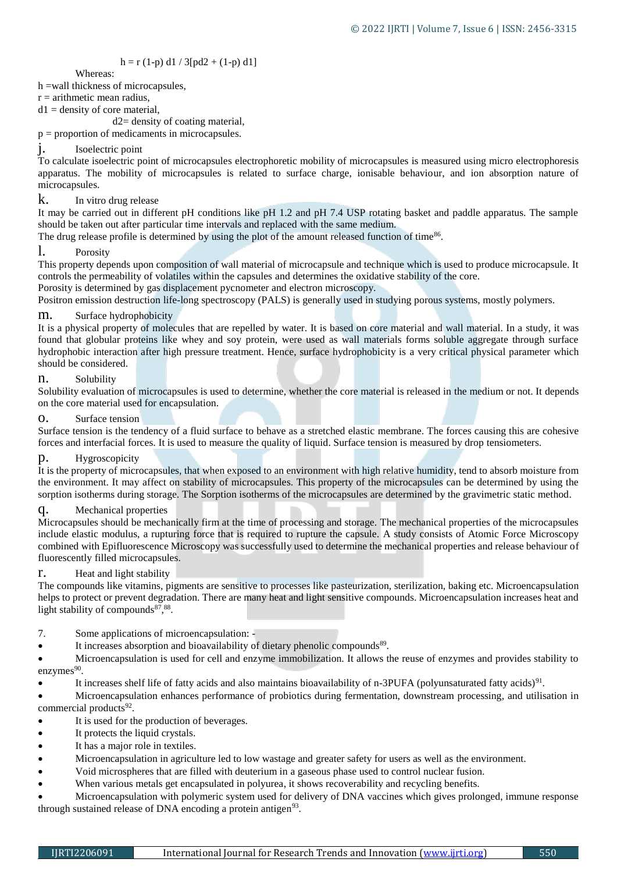# $h = r (1-p) d1 / 3[pd2 + (1-p) d1]$

Whereas:

h =wall thickness of microcapsules,

 $r =$  arithmetic mean radius,

 $d1$  = density of core material,

d2= density of coating material,

p = proportion of medicaments in microcapsules.

# j. Isoelectric point

To calculate isoelectric point of microcapsules electrophoretic mobility of microcapsules is measured using micro electrophoresis apparatus. The mobility of microcapsules is related to surface charge, ionisable behaviour, and ion absorption nature of microcapsules.

# k. In vitro drug release

It may be carried out in different pH conditions like pH 1.2 and pH 7.4 USP rotating basket and paddle apparatus. The sample should be taken out after particular time intervals and replaced with the same medium.

The drug release profile is determined by using the plot of the amount released function of time<sup>86</sup>.

# l. Porosity

This property depends upon composition of wall material of microcapsule and technique which is used to produce microcapsule. It controls the permeability of volatiles within the capsules and determines the oxidative stability of the core.

Porosity is determined by gas displacement pycnometer and electron microscopy.

Positron emission destruction life-long spectroscopy (PALS) is generally used in studying porous systems, mostly polymers.

# m. Surface hydrophobicity

It is a physical property of molecules that are repelled by water. It is based on core material and wall material. In a study, it was found that globular proteins like whey and soy protein, were used as wall materials forms soluble aggregate through surface hydrophobic interaction after high pressure treatment. Hence, surface hydrophobicity is a very critical physical parameter which should be considered.

# n. Solubility

Solubility evaluation of microcapsules is used to determine, whether the core material is released in the medium or not. It depends on the core material used for encapsulation.

# o. Surface tension

Surface tension is the tendency of a fluid surface to behave as a stretched elastic membrane. The forces causing this are cohesive forces and interfacial forces. It is used to measure the quality of liquid. Surface tension is measured by drop tensiometers.

# p. Hygroscopicity

It is the property of microcapsules, that when exposed to an environment with high relative humidity, tend to absorb moisture from the environment. It may affect on stability of microcapsules. This property of the microcapsules can be determined by using the sorption isotherms during storage. The Sorption isotherms of the microcapsules are determined by the gravimetric static method.

# q. Mechanical properties

Microcapsules should be mechanically firm at the time of processing and storage. The mechanical properties of the microcapsules include elastic modulus, a rupturing force that is required to rupture the capsule. A study consists of Atomic Force Microscopy combined with Epifluorescence Microscopy was successfully used to determine the mechanical properties and release behaviour of fluorescently filled microcapsules.

# Heat and light stability

The compounds like vitamins, pigments are sensitive to processes like pasteurization, sterilization, baking etc. Microencapsulation helps to protect or prevent degradation. There are many heat and light sensitive compounds. Microencapsulation increases heat and light stability of compounds<sup>87</sup>,<sup>88</sup>.

- 7. Some applications of microencapsulation: -
- It increases absorption and bioavailability of dietary phenolic compounds<sup>89</sup>.
- Microencapsulation is used for cell and enzyme immobilization. It allows the reuse of enzymes and provides stability to enzymes<sup>90</sup>.
- It increases shelf life of fatty acids and also maintains bioavailability of n-3PUFA (polyunsaturated fatty acids)<sup>91</sup>.
- Microencapsulation enhances performance of probiotics during fermentation, downstream processing, and utilisation in commercial products<sup>92</sup>.
- It is used for the production of beverages.
- It protects the liquid crystals.
- It has a major role in textiles.
- Microencapsulation in agriculture led to low wastage and greater safety for users as well as the environment.
- Void microspheres that are filled with deuterium in a gaseous phase used to control nuclear fusion.
- When various metals get encapsulated in polyurea, it shows recoverability and recycling benefits.

 Microencapsulation with polymeric system used for delivery of DNA vaccines which gives prolonged, immune response through sustained release of DNA encoding a protein antigen<sup>93</sup>.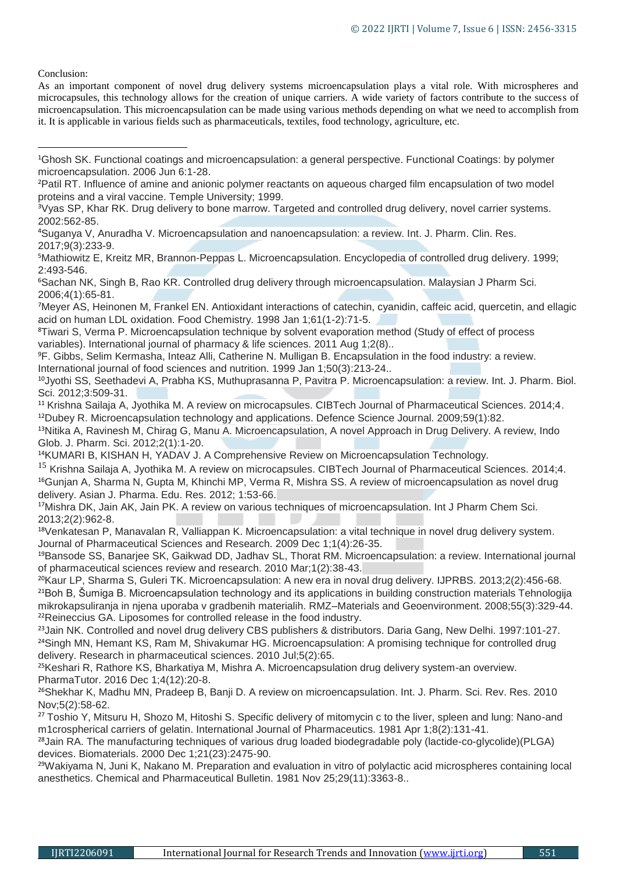Conclusion:

As an important component of novel drug delivery systems microencapsulation plays a vital role. With microspheres and microcapsules, this technology allows for the creation of unique carriers. A wide variety of factors contribute to the success of microencapsulation. This microencapsulation can be made using various methods depending on what we need to accomplish from it. It is applicable in various fields such as pharmaceuticals, textiles, food technology, agriculture, etc.

<sup>4</sup>Suganya V, Anuradha V. Microencapsulation and nanoencapsulation: a review. Int. J. Pharm. Clin. Res. 2017;9(3):233-9.

<sup>5</sup>Mathiowitz E, Kreitz MR, Brannon-Peppas L. Microencapsulation. Encyclopedia of controlled drug delivery. 1999; 2:493-546.

<sup>6</sup>Sachan NK, Singh B, Rao KR. Controlled drug delivery through microencapsulation. Malaysian J Pharm Sci. 2006;4(1):65-81.

<sup>7</sup>Meyer AS, Heinonen M, Frankel EN. Antioxidant interactions of catechin, cyanidin, caffeic acid, quercetin, and ellagic acid on human LDL oxidation. Food Chemistry. 1998 Jan 1;61(1-2):71-5.

<sup>8</sup>Tiwari S, Verma P. Microencapsulation technique by solvent evaporation method (Study of effect of process variables). International journal of pharmacy & life sciences. 2011 Aug 1;2(8)..

<sup>9</sup>F. Gibbs, Selim Kermasha, Inteaz Alli, Catherine N. Mulligan B. Encapsulation in the food industry: a review. International journal of food sciences and nutrition. 1999 Jan 1;50(3):213-24..

<sup>10</sup>Jyothi SS, Seethadevi A, Prabha KS, Muthuprasanna P, Pavitra P. Microencapsulation: a review. Int. J. Pharm. Biol. Sci. 2012;3:509-31.

<sup>11</sup> Krishna Sailaja A, Jyothika M. A review on microcapsules. CIBTech Journal of Pharmaceutical Sciences. 2014;4. <sup>12</sup>Dubey R. Microencapsulation technology and applications. Defence Science Journal. 2009;59(1):82.

<sup>13</sup>Nitika A, Ravinesh M, Chirag G, Manu A. Microencapsulation, A novel Approach in Drug Delivery. A review, Indo Glob. J. Pharm. Sci. 2012;2(1):1-20.

<sup>14</sup>KUMARI B, KISHAN H, YADAV J. A Comprehensive Review on Microencapsulation Technology.

<sup>15</sup> Krishna Sailaja A, Jyothika M. A review on microcapsules. CIBTech Journal of Pharmaceutical Sciences. 2014;4. <sup>16</sup>Gunjan A, Sharma N, Gupta M, Khinchi MP, Verma R, Mishra SS. A review of microencapsulation as novel drug delivery. Asian J. Pharma. Edu. Res. 2012; 1:53-66.

<sup>17</sup>Mishra DK, Jain AK, Jain PK. A review on various techniques of microencapsulation. Int J Pharm Chem Sci. 2013;2(2):962-8.

<sup>18</sup>Venkatesan P, Manavalan R, Valliappan K. Microencapsulation: a vital technique in novel drug delivery system. Journal of Pharmaceutical Sciences and Research. 2009 Dec 1;1(4):26-35.

<sup>19</sup>Bansode SS, Banarjee SK, Gaikwad DD, Jadhav SL, Thorat RM. Microencapsulation: a review. International journal of pharmaceutical sciences review and research. 2010 Mar;1(2):38-43.

<sup>20</sup>Kaur LP, Sharma S, Guleri TK. Microencapsulation: A new era in noval drug delivery. IJPRBS. 2013;2(2):456-68. <sup>21</sup>Boh B, Šumiga B. Microencapsulation technology and its applications in building construction materials Tehnologija mikrokapsuliranja in njena uporaba v gradbenih materialih. RMZ–Materials and Geoenvironment. 2008;55(3):329-44. <sup>22</sup>Reineccius GA. Liposomes for controlled release in the food industry.

<sup>23</sup> Jain NK. Controlled and novel drug delivery CBS publishers & distributors. Daria Gang, New Delhi. 1997:101-27. <sup>24</sup>Singh MN, Hemant KS, Ram M, Shivakumar HG. Microencapsulation: A promising technique for controlled drug delivery. Research in pharmaceutical sciences. 2010 Jul;5(2):65.

<sup>25</sup>Keshari R, Rathore KS, Bharkatiya M, Mishra A. Microencapsulation drug delivery system-an overview. PharmaTutor. 2016 Dec 1;4(12):20-8.

<sup>26</sup>Shekhar K, Madhu MN, Pradeep B, Banji D. A review on microencapsulation. Int. J. Pharm. Sci. Rev. Res. 2010 Nov;5(2):58-62.

<sup>27</sup> Toshio Y, Mitsuru H, Shozo M, Hitoshi S. Specific delivery of mitomycin c to the liver, spleen and lung: Nano-and m1crospherical carriers of gelatin. International Journal of Pharmaceutics. 1981 Apr 1;8(2):131-41.

<sup>28</sup>Jain RA. The manufacturing techniques of various drug loaded biodegradable poly (lactide-co-glycolide)(PLGA) devices. Biomaterials. 2000 Dec 1;21(23):2475-90.

<sup>29</sup>Wakiyama N, Juni K, Nakano M, Preparation and evaluation in vitro of polylactic acid microspheres containing local anesthetics. Chemical and Pharmaceutical Bulletin. 1981 Nov 25;29(11):3363-8..

<sup>1</sup>Ghosh SK. Functional coatings and microencapsulation: a general perspective. Functional Coatings: by polymer microencapsulation. 2006 Jun 6:1-28. **.** 

<sup>&</sup>lt;sup>2</sup>Patil RT. Influence of amine and anionic polymer reactants on aqueous charged film encapsulation of two model proteins and a viral vaccine. Temple University; 1999.

<sup>3</sup>Vyas SP, Khar RK. Drug delivery to bone marrow. Targeted and controlled drug delivery, novel carrier systems. 2002:562-85.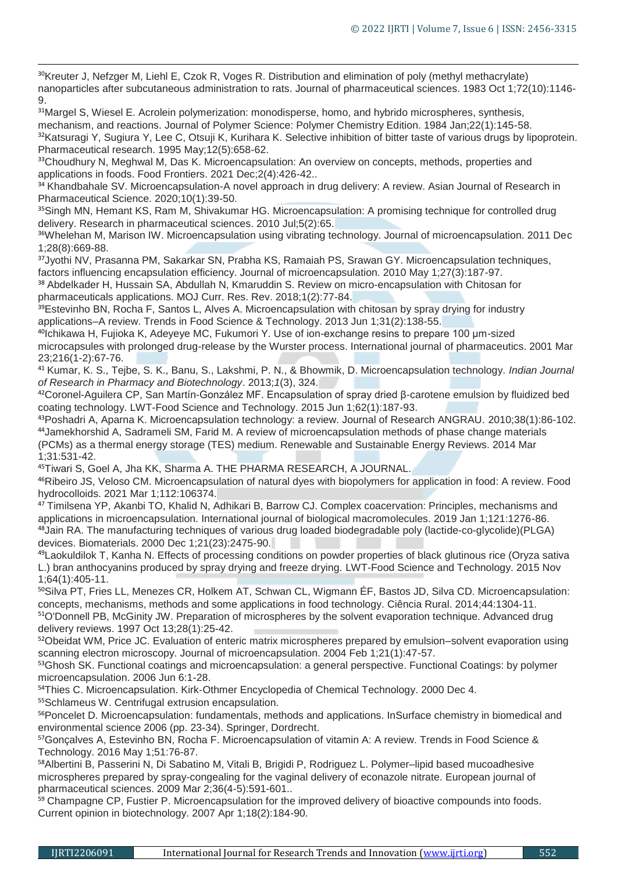<sup>30</sup>Kreuter J, Nefzger M, Liehl E, Czok R, Voges R. Distribution and elimination of poly (methyl methacrylate) nanoparticles after subcutaneous administration to rats. Journal of pharmaceutical sciences. 1983 Oct 1;72(10):1146- 9.

31Margel S, Wiesel E. Acrolein polymerization: monodisperse, homo, and hybrido microspheres, synthesis, mechanism, and reactions. Journal of Polymer Science: Polymer Chemistry Edition. 1984 Jan;22(1):145-58. 32Katsuragi Y, Sugiura Y, Lee C, Otsuji K, Kurihara K. Selective inhibition of bitter taste of various drugs by lipoprotein. Pharmaceutical research. 1995 May;12(5):658-62.

33Choudhury N, Meghwal M, Das K. Microencapsulation: An overview on concepts, methods, properties and applications in foods. Food Frontiers. 2021 Dec;2(4):426-42..

34 Khandbahale SV. Microencapsulation-A novel approach in drug delivery: A review. Asian Journal of Research in Pharmaceutical Science. 2020;10(1):39-50.

<sup>35</sup>Singh MN, Hemant KS, Ram M, Shivakumar HG. Microencapsulation: A promising technique for controlled drug delivery. Research in pharmaceutical sciences. 2010 Jul;5(2):65.

<sup>36</sup>Whelehan M, Marison IW. Microencapsulation using vibrating technology. Journal of microencapsulation. 2011 Dec 1;28(8):669-88.

<sup>37</sup>Jyothi NV, Prasanna PM, Sakarkar SN, Prabha KS, Ramaiah PS, Srawan GY. Microencapsulation techniques, factors influencing encapsulation efficiency. Journal of microencapsulation. 2010 May 1;27(3):187-97.

<sup>38</sup> Abdelkader H, Hussain SA, Abdullah N, Kmaruddin S. Review on micro-encapsulation with Chitosan for pharmaceuticals applications. MOJ Curr. Res. Rev. 2018;1(2):77-84.

<sup>39</sup>Estevinho BN, Rocha F, Santos L, Alves A. Microencapsulation with chitosan by spray drying for industry applications–A review. Trends in Food Science & Technology. 2013 Jun 1;31(2):138-55.

<sup>40</sup>Ichikawa H, Fujioka K, Adeyeye MC, Fukumori Y. Use of ion-exchange resins to prepare 100 μm-sized microcapsules with prolonged drug-release by the Wurster process. International journal of pharmaceutics. 2001 Mar 23;216(1-2):67-76.

<sup>41</sup> Kumar, K. S., Tejbe, S. K., Banu, S., Lakshmi, P. N., & Bhowmik, D. Microencapsulation technology. *Indian Journal of Research in Pharmacy and Biotechnology*. 2013;*1*(3), 324.

<sup>42</sup>Coronel-Aguilera CP, San Martín-González MF. Encapsulation of spray dried β-carotene emulsion by fluidized bed coating technology. LWT-Food Science and Technology. 2015 Jun 1;62(1):187-93.

<sup>43</sup>Poshadri A, Aparna K. Microencapsulation technology: a review. Journal of Research ANGRAU. 2010;38(1):86-102. <sup>44</sup>Jamekhorshid A, Sadrameli SM, Farid M. A review of microencapsulation methods of phase change materials (PCMs) as a thermal energy storage (TES) medium. Renewable and Sustainable Energy Reviews. 2014 Mar 1;31:531-42.

<sup>45</sup>Tiwari S, Goel A, Jha KK, Sharma A. THE PHARMA RESEARCH, A JOURNAL.

<sup>46</sup>Ribeiro JS, Veloso CM. Microencapsulation of natural dyes with biopolymers for application in food: A review. Food hydrocolloids. 2021 Mar 1;112:106374.

<sup>47</sup> Timilsena YP, Akanbi TO, Khalid N, Adhikari B, Barrow CJ. Complex coacervation: Principles, mechanisms and applications in microencapsulation. International journal of biological macromolecules. 2019 Jan 1;121:1276-86. <sup>48</sup>Jain RA. The manufacturing techniques of various drug loaded biodegradable poly (lactide-co-glycolide)(PLGA) devices. Biomaterials. 2000 Dec 1;21(23):2475-90.

<sup>49</sup>Laokuldilok T, Kanha N. Effects of processing conditions on powder properties of black glutinous rice (Oryza sativa L.) bran anthocyanins produced by spray drying and freeze drying. LWT-Food Science and Technology. 2015 Nov 1;64(1):405-11.

<sup>50</sup>Silva PT, Fries LL, Menezes CR, Holkem AT, Schwan CL, Wigmann ÉF, Bastos JD, Silva CD. Microencapsulation: concepts, mechanisms, methods and some applications in food technology. Ciência Rural. 2014;44:1304-11. <sup>51</sup>O'Donnell PB, McGinity JW. Preparation of microspheres by the solvent evaporation technique. Advanced drug delivery reviews. 1997 Oct 13;28(1):25-42.

52Obeidat WM, Price JC. Evaluation of enteric matrix microspheres prepared by emulsion–solvent evaporation using scanning electron microscopy. Journal of microencapsulation. 2004 Feb 1;21(1):47-57.

53Ghosh SK. Functional coatings and microencapsulation: a general perspective. Functional Coatings: by polymer microencapsulation. 2006 Jun 6:1-28.

54Thies C. Microencapsulation. Kirk-Othmer Encyclopedia of Chemical Technology. 2000 Dec 4. <sup>55</sup>Schlameus W. Centrifugal extrusion encapsulation.

<sup>56</sup>Poncelet D. Microencapsulation: fundamentals, methods and applications. InSurface chemistry in biomedical and environmental science 2006 (pp. 23-34). Springer, Dordrecht.

<sup>57</sup>Gonçalves A, Estevinho BN, Rocha F. Microencapsulation of vitamin A: A review. Trends in Food Science & Technology. 2016 May 1;51:76-87.

<sup>58</sup>Albertini B, Passerini N, Di Sabatino M, Vitali B, Brigidi P, Rodriguez L. Polymer–lipid based mucoadhesive microspheres prepared by spray-congealing for the vaginal delivery of econazole nitrate. European journal of pharmaceutical sciences. 2009 Mar 2;36(4-5):591-601..

<sup>59</sup> Champagne CP, Fustier P. Microencapsulation for the improved delivery of bioactive compounds into foods. Current opinion in biotechnology. 2007 Apr 1;18(2):184-90.

1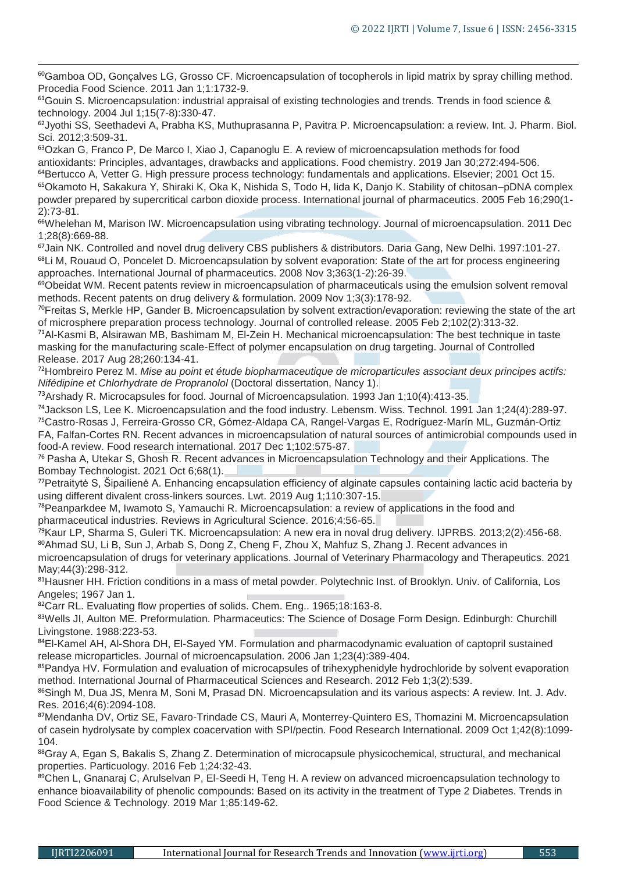60Gamboa OD, Gonçalves LG, Grosso CF. Microencapsulation of tocopherols in lipid matrix by spray chilling method. Procedia Food Science. 2011 Jan 1;1:1732-9.

<sup>61</sup>Gouin S. Microencapsulation: industrial appraisal of existing technologies and trends. Trends in food science & technology. 2004 Jul 1;15(7-8):330-47.

<sup>62</sup>Jyothi SS, Seethadevi A, Prabha KS, Muthuprasanna P, Pavitra P. Microencapsulation: a review. Int. J. Pharm. Biol. Sci. 2012;3:509-31.

Ozkan G, Franco P, De Marco I, Xiao J, Capanoglu E. A review of microencapsulation methods for food antioxidants: Principles, advantages, drawbacks and applications. Food chemistry. 2019 Jan 30;272:494-506. Bertucco A, Vetter G. High pressure process technology: fundamentals and applications. Elsevier; 2001 Oct 15. Okamoto H, Sakakura Y, Shiraki K, Oka K, Nishida S, Todo H, Iida K, Danjo K. Stability of chitosan–pDNA complex

powder prepared by supercritical carbon dioxide process. International journal of pharmaceutics. 2005 Feb 16;290(1- 2):73-81.

66Whelehan M, Marison IW. Microencapsulation using vibrating technology. Journal of microencapsulation. 2011 Dec 1;28(8):669-88.

<sup>67</sup>Jain NK. Controlled and novel drug delivery CBS publishers & distributors. Daria Gang, New Delhi. 1997:101-27. <sup>68</sup>Li M, Rouaud O, Poncelet D. Microencapsulation by solvent evaporation: State of the art for process engineering approaches. International Journal of pharmaceutics. 2008 Nov 3;363(1-2):26-39.

<sup>69</sup>Obeidat WM. Recent patents review in microencapsulation of pharmaceuticals using the emulsion solvent removal methods. Recent patents on drug delivery & formulation. 2009 Nov 1;3(3):178-92.

<sup>70</sup>Freitas S, Merkle HP, Gander B. Microencapsulation by solvent extraction/evaporation: reviewing the state of the art of microsphere preparation process technology. Journal of controlled release. 2005 Feb 2;102(2):313-32.

<sup>71</sup>Al-Kasmi B, Alsirawan MB, Bashimam M, El-Zein H. Mechanical microencapsulation: The best technique in taste masking for the manufacturing scale-Effect of polymer encapsulation on drug targeting. Journal of Controlled Release. 2017 Aug 28;260:134-41.

<sup>72</sup>Hombreiro Perez M. *Mise au point et étude biopharmaceutique de microparticules associant deux principes actifs: Nifédipine et Chlorhydrate de Propranolol* (Doctoral dissertation, Nancy 1).

 $<sup>73</sup>$ Arshady R. Microcapsules for food. Journal of Microencapsulation. 1993 Jan 1;10(4):413-35.</sup>

<sup>74</sup>Jackson LS, Lee K. Microencapsulation and the food industry. Lebensm. Wiss. Technol. 1991 Jan 1;24(4):289-97. <sup>75</sup>Castro-Rosas J, Ferreira-Grosso CR, Gómez-Aldapa CA, Rangel-Vargas E, Rodríguez-Marín ML, Guzmán-Ortiz FA, Falfan-Cortes RN. Recent advances in microencapsulation of natural sources of antimicrobial compounds used in food-A review. Food research international. 2017 Dec 1;102:575-87.

<sup>76</sup> Pasha A, Utekar S, Ghosh R. Recent advances in Microencapsulation Technology and their Applications. The Bombay Technologist. 2021 Oct 6;68(1).

<sup>77</sup>Petraitytė S, Šipailienė A. Enhancing encapsulation efficiency of alginate capsules containing lactic acid bacteria by using different divalent cross-linkers sources. Lwt. 2019 Aug 1;110:307-15.

<sup>78</sup>Peanparkdee M, Iwamoto S, Yamauchi R. Microencapsulation: a review of applications in the food and pharmaceutical industries. Reviews in Agricultural Science. 2016;4:56-65.

<sup>79</sup>Kaur LP, Sharma S, Guleri TK. Microencapsulation: A new era in noval drug delivery. IJPRBS. 2013;2(2):456-68. 80Ahmad SU, Li B, Sun J, Arbab S, Dong Z, Cheng F, Zhou X, Mahfuz S, Zhang J. Recent advances in

microencapsulation of drugs for veterinary applications. Journal of Veterinary Pharmacology and Therapeutics. 2021 May;44(3):298-312.

81Hausner HH. Friction conditions in a mass of metal powder. Polytechnic Inst. of Brooklyn. Univ. of California, Los Angeles; 1967 Jan 1.

82Carr RL. Evaluating flow properties of solids. Chem. Eng.. 1965;18:163-8.

83Wells JI, Aulton ME. Preformulation. Pharmaceutics: The Science of Dosage Form Design. Edinburgh: Churchill Livingstone. 1988:223-53.

84EI-Kamel AH, AI-Shora DH, EI-Sayed YM. Formulation and pharmacodynamic evaluation of captopril sustained release microparticles. Journal of microencapsulation. 2006 Jan 1;23(4):389-404.

85Pandya HV. Formulation and evaluation of microcapsules of trihexyphenidyle hydrochloride by solvent evaporation method. International Journal of Pharmaceutical Sciences and Research. 2012 Feb 1;3(2):539.

86Singh M, Dua JS, Menra M, Soni M, Prasad DN. Microencapsulation and its various aspects: A review. Int. J. Adv. Res. 2016;4(6):2094-108.

87Mendanha DV, Ortiz SE, Favaro-Trindade CS, Mauri A, Monterrey-Quintero ES, Thomazini M. Microencapsulation of casein hydrolysate by complex coacervation with SPI/pectin. Food Research International. 2009 Oct 1;42(8):1099- 104.

88Gray A, Egan S, Bakalis S, Zhang Z. Determination of microcapsule physicochemical, structural, and mechanical properties. Particuology. 2016 Feb 1;24:32-43.

89Chen L, Gnanaraj C, Arulselvan P, El-Seedi H, Teng H. A review on advanced microencapsulation technology to enhance bioavailability of phenolic compounds: Based on its activity in the treatment of Type 2 Diabetes. Trends in Food Science & Technology. 2019 Mar 1;85:149-62.

1